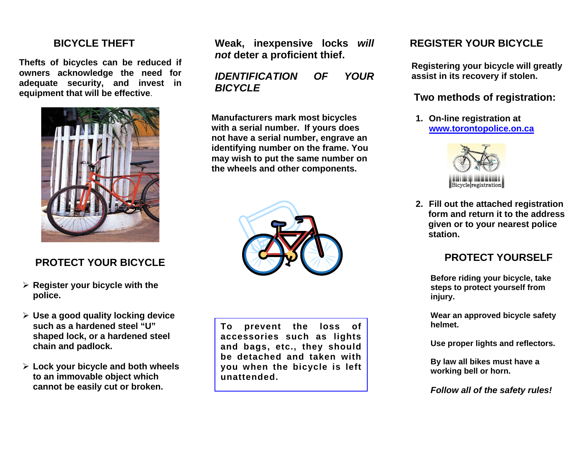#### **BICYCLE THEFT**

**Thefts of bicycles can be reduced if owners acknowledge the need for adequate security, and invest in equipment that will be effective**.



## **PROTECT YOUR BICYCLE**

- ¾ **Register your bicycle with the police.**
- ¾ **Use a good quality locking device such as a hardened steel "U" shaped lock, or a hardened steel chain and padlock.**
- ¾ **Lock your bicycle and both wheels to an immovable object which cannot be easily cut or broken.**

**Weak, inexpensive locks** *will not* **deter a proficient thief.** 

*IDENTIFICATION OF YOUR BICYCLE* 

**Manufacturers mark most bicycles with a serial number. If yours does not have a serial number, engrave an identifying number on the frame. You may wish to put the same number on the wheels and other components.** 



**To prevent the loss of accessories such as lights and bags, etc., they should be detached and taken with you when the bicycle is left unattended.** 

## **REGISTER YOUR BICYCLE**

 **Registering your bicycle will greatly assist in its recovery if stolen.** 

## **Two methods of registration:**

**1. On-line registration at www.torontopolice.on.ca**



**2. Fill out the attached registration form and return it to the address given or to your nearest police station.** 

## **PROTECT YOURSELF**

**Before riding your bicycle, take steps to protect yourself from injury.** 

**Wear an approved bicycle safety helmet.** 

**Use proper lights and reflectors.** 

**By law all bikes must have a working bell or horn.** 

*Follow all of the safety rules!*